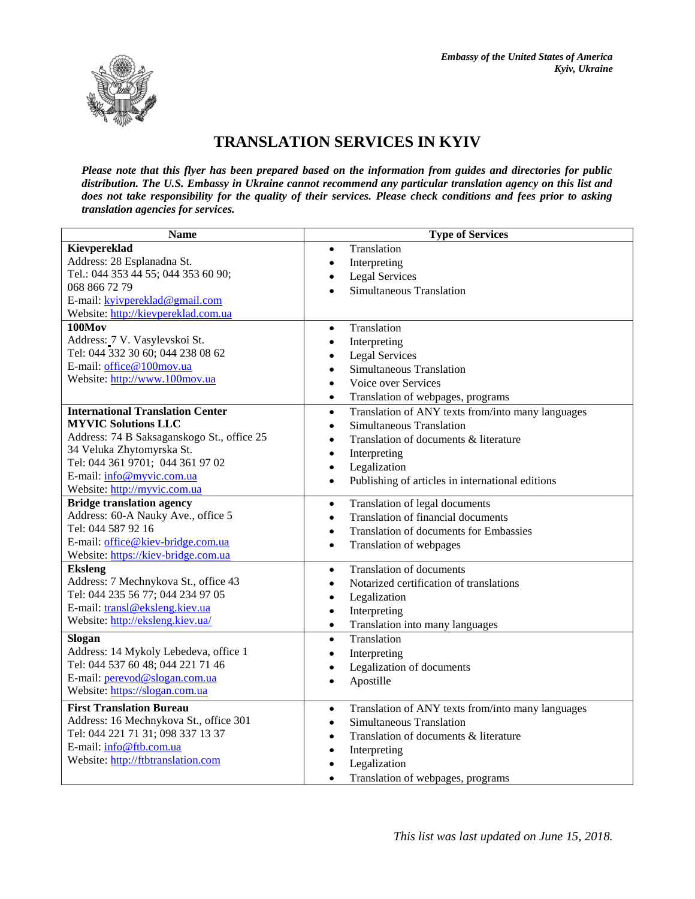

## **TRANSLATION SERVICES IN KYIV**

*Please note that this flyer has been prepared based on the information from guides and directories for public distribution. The U.S. Embassy in Ukraine cannot recommend any particular translation agency on this list and does not take responsibility for the quality of their services. Please check conditions and fees prior to asking translation agencies for services.*

| <b>Name</b>                                | <b>Type of Services</b>                                        |  |
|--------------------------------------------|----------------------------------------------------------------|--|
| Kievpereklad                               | Translation<br>$\bullet$                                       |  |
| Address: 28 Esplanadna St.                 | Interpreting<br>$\bullet$                                      |  |
| Tel.: 044 353 44 55; 044 353 60 90;        | <b>Legal Services</b><br>$\bullet$                             |  |
| 068 866 72 79                              | Simultaneous Translation<br>$\bullet$                          |  |
| E-mail: kyivpereklad@gmail.com             |                                                                |  |
| Website: http://kievpereklad.com.ua        |                                                                |  |
| 100Mov                                     | Translation<br>$\bullet$                                       |  |
| Address: 7 V. Vasylevskoi St.              | Interpreting<br>$\bullet$                                      |  |
| Tel: 044 332 30 60; 044 238 08 62          | <b>Legal Services</b><br>$\bullet$                             |  |
| E-mail: office@100mov.ua                   | Simultaneous Translation<br>$\bullet$                          |  |
| Website: http://www.100mov.ua              | Voice over Services<br>$\bullet$                               |  |
|                                            | Translation of webpages, programs<br>$\bullet$                 |  |
| <b>International Translation Center</b>    | Translation of ANY texts from/into many languages<br>$\bullet$ |  |
| <b>MYVIC Solutions LLC</b>                 | Simultaneous Translation<br>$\bullet$                          |  |
| Address: 74 B Saksaganskogo St., office 25 | Translation of documents & literature<br>$\bullet$             |  |
| 34 Veluka Zhytomyrska St.                  | Interpreting<br>$\bullet$                                      |  |
| Tel: 044 361 9701; 044 361 97 02           | Legalization<br>$\bullet$                                      |  |
| E-mail: info@myvic.com.ua                  | Publishing of articles in international editions<br>$\bullet$  |  |
| Website: http://myvic.com.ua               |                                                                |  |
| <b>Bridge translation agency</b>           | Translation of legal documents<br>$\bullet$                    |  |
| Address: 60-A Nauky Ave., office 5         | Translation of financial documents<br>$\bullet$                |  |
| Tel: 044 587 92 16                         | <b>Translation of documents for Embassies</b><br>$\bullet$     |  |
| E-mail: office@kiev-bridge.com.ua          | Translation of webpages<br>$\bullet$                           |  |
| Website: https://kiev-bridge.com.ua        |                                                                |  |
| <b>Eksleng</b>                             | <b>Translation of documents</b><br>$\bullet$                   |  |
| Address: 7 Mechnykova St., office 43       | Notarized certification of translations<br>$\bullet$           |  |
| Tel: 044 235 56 77; 044 234 97 05          | Legalization<br>$\bullet$                                      |  |
| E-mail: transl@eksleng.kiev.ua             | Interpreting<br>$\bullet$                                      |  |
| Website: http://eksleng.kiev.ua/           | Translation into many languages<br>$\bullet$                   |  |
| Slogan                                     | Translation<br>$\bullet$                                       |  |
| Address: 14 Mykoly Lebedeva, office 1      | Interpreting<br>$\bullet$                                      |  |
| Tel: 044 537 60 48; 044 221 71 46          | Legalization of documents<br>٠                                 |  |
| E-mail: perevod@slogan.com.ua              | Apostille<br>$\bullet$                                         |  |
| Website: https://slogan.com.ua             |                                                                |  |
| <b>First Translation Bureau</b>            | Translation of ANY texts from/into many languages<br>$\bullet$ |  |
| Address: 16 Mechnykova St., office 301     | Simultaneous Translation<br>$\bullet$                          |  |
| Tel: 044 221 71 31; 098 337 13 37          | Translation of documents & literature<br>$\bullet$             |  |
| E-mail: info@ftb.com.ua                    | Interpreting<br>$\bullet$                                      |  |
| Website: http://ftbtranslation.com         | Legalization<br>$\bullet$                                      |  |
|                                            | Translation of webpages, programs                              |  |